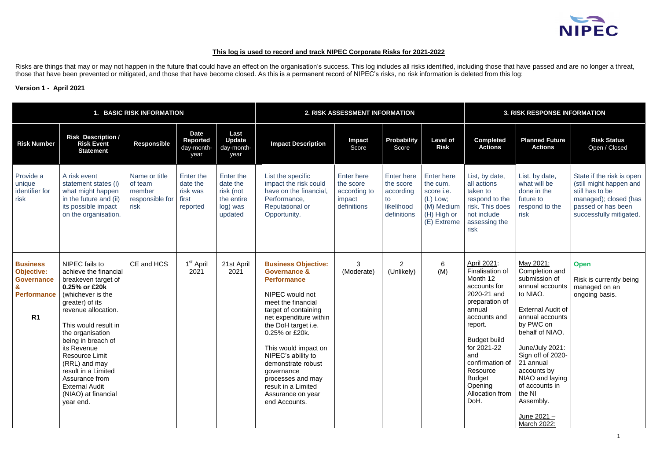# **This log is used to record and track NIPEC Corporate Risks for 2021-2022**

Risks are things that may or may not happen in the future that could have an effect on the organisation's success. This log includes all risks identified, including those that have passed and are no longer a threat, those that have been prevented or mitigated, and those that have become closed. As this is a permanent record of NIPEC's risks, no risk information is deleted from this log:

## **Version 1 - April 2021**

|                                                                                                        |                                                                                                                                                                                                                                                                                                                                                                                 | 1. BASIC RISK INFORMATION                                     |                                                        |                                                                         |                                                                                                                                                                                                                                                                                                                                                                                     | 2. RISK ASSESSMENT INFORMATION                                          |                                                                         | <b>3. RISK RESPONSE INFORMATION</b>                                                                   |                                                                                                                                                                                                                                                                     |                                                                                                                                                                                                                                                                                                                            |                                                                                                                                                   |
|--------------------------------------------------------------------------------------------------------|---------------------------------------------------------------------------------------------------------------------------------------------------------------------------------------------------------------------------------------------------------------------------------------------------------------------------------------------------------------------------------|---------------------------------------------------------------|--------------------------------------------------------|-------------------------------------------------------------------------|-------------------------------------------------------------------------------------------------------------------------------------------------------------------------------------------------------------------------------------------------------------------------------------------------------------------------------------------------------------------------------------|-------------------------------------------------------------------------|-------------------------------------------------------------------------|-------------------------------------------------------------------------------------------------------|---------------------------------------------------------------------------------------------------------------------------------------------------------------------------------------------------------------------------------------------------------------------|----------------------------------------------------------------------------------------------------------------------------------------------------------------------------------------------------------------------------------------------------------------------------------------------------------------------------|---------------------------------------------------------------------------------------------------------------------------------------------------|
| <b>Risk Number</b>                                                                                     | <b>Risk Description /</b><br><b>Risk Event</b><br><b>Statement</b>                                                                                                                                                                                                                                                                                                              | <b>Responsible</b>                                            | <b>Date</b><br><b>Reported</b><br>day-month-<br>year   | Last<br><b>Update</b><br>day-month-<br>year                             | <b>Impact Description</b>                                                                                                                                                                                                                                                                                                                                                           | <b>Impact</b><br>Score                                                  | Probability<br>Score                                                    | <b>Level of</b><br><b>Risk</b>                                                                        | <b>Completed</b><br><b>Actions</b>                                                                                                                                                                                                                                  | <b>Planned Future</b><br><b>Actions</b>                                                                                                                                                                                                                                                                                    | <b>Risk Status</b><br>Open / Closed                                                                                                               |
| Provide a<br>unique<br>identifier for<br>risk                                                          | A risk event<br>statement states (i)<br>what might happen<br>in the future and (ii)<br>its possible impact<br>on the organisation.                                                                                                                                                                                                                                              | Name or title<br>of team<br>member<br>responsible for<br>risk | Enter the<br>date the<br>risk was<br>first<br>reported | Enter the<br>date the<br>risk (not<br>the entire<br>log) was<br>updated | List the specific<br>impact the risk could<br>have on the financial,<br>Performance,<br><b>Reputational or</b><br>Opportunity.                                                                                                                                                                                                                                                      | <b>Enter here</b><br>the score<br>according to<br>impact<br>definitions | Enter here<br>the score<br>according<br>to<br>likelihood<br>definitions | <b>Enter here</b><br>the cum.<br>score i.e.<br>$(L)$ Low;<br>(M) Medium<br>(H) High or<br>(E) Extreme | List, by date,<br>all actions<br>taken to<br>respond to the<br>risk. This does<br>not include<br>assessing the<br>risk                                                                                                                                              | List, by date,<br>what will be<br>done in the<br>future to<br>respond to the<br>risk                                                                                                                                                                                                                                       | State if the risk is open<br>(still might happen and<br>still has to be<br>managed); closed (has<br>passed or has been<br>successfully mitigated. |
| <b>Business</b><br><b>Objective:</b><br><b>Governance</b><br>&<br><b>Performance</b><br>R <sub>1</sub> | NIPEC fails to<br>achieve the financial<br>breakeven target of<br>0.25% or £20k<br>(whichever is the<br>greater) of its<br>revenue allocation.<br>This would result in<br>the organisation<br>being in breach of<br>its Revenue<br><b>Resource Limit</b><br>(RRL) and may<br>result in a Limited<br>Assurance from<br><b>External Audit</b><br>(NIAO) at financial<br>year end. | CE and HCS                                                    | 1 <sup>st</sup> April<br>2021                          | 21st April<br>2021                                                      | <b>Business Objective:</b><br><b>Governance &amp;</b><br><b>Performance</b><br>NIPEC would not<br>meet the financial<br>target of containing<br>net expenditure within<br>the DoH target i.e.<br>0.25% or £20k.<br>This would impact on<br>NIPEC's ability to<br>demonstrate robust<br>governance<br>processes and may<br>result in a Limited<br>Assurance on year<br>end Accounts. | 3<br>(Moderate)                                                         | $\overline{2}$<br>(Unlikely)                                            | 6<br>(M)                                                                                              | April 2021:<br>Finalisation of<br>Month 12<br>accounts for<br>2020-21 and<br>preparation of<br>annual<br>accounts and<br>report.<br><b>Budget build</b><br>for 2021-22<br>and<br>confirmation of<br>Resource<br><b>Budget</b><br>Opening<br>Allocation from<br>DoH. | May 2021:<br>Completion and<br>submission of<br>annual accounts<br>to NIAO.<br><b>External Audit of</b><br>annual accounts<br>by PWC on<br>behalf of NIAO.<br>June/July 2021:<br>Sign off of 2020-<br>21 annual<br>accounts by<br>NIAO and laying<br>of accounts in<br>the NI<br>Assembly.<br>June $2021 -$<br>March 2022: | <b>Open</b><br>Risk is currently being<br>managed on an<br>ongoing basis.                                                                         |

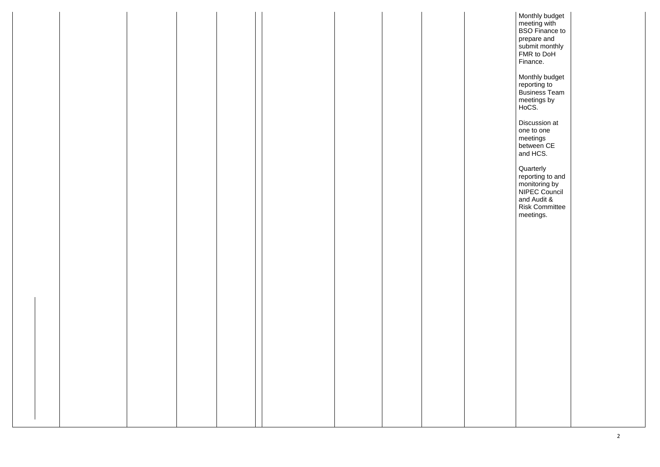Monthly budget meeting with BSO Finance to prepare and submit monthly FMR to DoH Finance.

Monthly budget reporting to Business Team meetings by HoCS.

**Quarterly** reporting to and monitoring by NIPEC Council and Audit & Risk Committee meetings.

Discussion at one to one meetings between CE and HCS.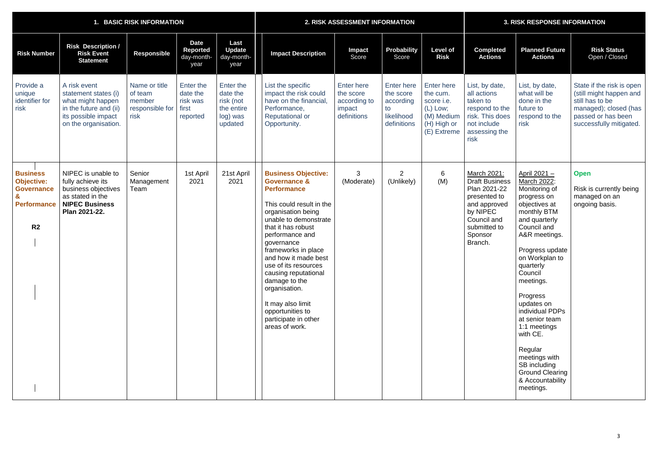|                                                                                                   | 1. BASIC RISK INFORMATION                                                                                                          |                                                               |                                                        |                                                                         |                                                                                                                                                                                                                                                                                                                                                                                                                                   | 2. RISK ASSESSMENT INFORMATION                                   |                                                                                | <b>3. RISK RESPONSE INFORMATION</b>                                                            |                                                                                                                                                       |                                                                                                                                                                                                                                                                                                                                                                                                                          |                                                                                                                                                   |
|---------------------------------------------------------------------------------------------------|------------------------------------------------------------------------------------------------------------------------------------|---------------------------------------------------------------|--------------------------------------------------------|-------------------------------------------------------------------------|-----------------------------------------------------------------------------------------------------------------------------------------------------------------------------------------------------------------------------------------------------------------------------------------------------------------------------------------------------------------------------------------------------------------------------------|------------------------------------------------------------------|--------------------------------------------------------------------------------|------------------------------------------------------------------------------------------------|-------------------------------------------------------------------------------------------------------------------------------------------------------|--------------------------------------------------------------------------------------------------------------------------------------------------------------------------------------------------------------------------------------------------------------------------------------------------------------------------------------------------------------------------------------------------------------------------|---------------------------------------------------------------------------------------------------------------------------------------------------|
| <b>Risk Number</b>                                                                                | <b>Risk Description /</b><br><b>Risk Event</b><br><b>Statement</b>                                                                 | <b>Responsible</b>                                            | <b>Date</b><br>Reported<br>day-month-<br>year          | Last<br><b>Update</b><br>day-month-<br>year                             | <b>Impact Description</b>                                                                                                                                                                                                                                                                                                                                                                                                         | <b>Impact</b><br>Score                                           | <b>Probability</b><br>Score                                                    | <b>Level of</b><br><b>Risk</b>                                                                 | <b>Completed</b><br><b>Actions</b>                                                                                                                    | <b>Planned Future</b><br><b>Actions</b>                                                                                                                                                                                                                                                                                                                                                                                  | <b>Risk Status</b><br>Open / Closed                                                                                                               |
| Provide a<br>unique<br>identifier for<br>risk                                                     | A risk event<br>statement states (i)<br>what might happen<br>in the future and (ii)<br>its possible impact<br>on the organisation. | Name or title<br>of team<br>member<br>responsible for<br>risk | Enter the<br>date the<br>risk was<br>first<br>reported | Enter the<br>date the<br>risk (not<br>the entire<br>log) was<br>updated | List the specific<br>impact the risk could<br>have on the financial,<br>Performance,<br><b>Reputational or</b><br>Opportunity.                                                                                                                                                                                                                                                                                                    | Enter here<br>the score<br>according to<br>impact<br>definitions | <b>Enter here</b><br>the score<br>according<br>to<br>likelihood<br>definitions | Enter here<br>the cum.<br>score i.e.<br>$(L)$ Low;<br>(M) Medium<br>(H) High or<br>(E) Extreme | List, by date,<br>all actions<br>taken to<br>respond to the<br>risk. This does<br>not include<br>assessing the<br>risk                                | List, by date,<br>what will be<br>done in the<br>future to<br>respond to the<br>risk                                                                                                                                                                                                                                                                                                                                     | State if the risk is open<br>(still might happen and<br>still has to be<br>managed); closed (has<br>passed or has been<br>successfully mitigated. |
| <b>Business</b><br><b>Objective:</b><br><b>Governance</b><br><b>Performance</b><br>R <sub>2</sub> | NIPEC is unable to<br>fully achieve its<br>business objectives<br>as stated in the<br><b>NIPEC Business</b><br>Plan 2021-22.       | Senior<br>Management<br>Team                                  | 1st April<br>2021                                      | 21st April<br>2021                                                      | <b>Business Objective:</b><br><b>Governance &amp;</b><br><b>Performance</b><br>This could result in the<br>organisation being<br>unable to demonstrate<br>that it has robust<br>performance and<br>governance<br>frameworks in place<br>and how it made best<br>use of its resources<br>causing reputational<br>damage to the<br>organisation.<br>It may also limit<br>opportunities to<br>participate in other<br>areas of work. | 3<br>(Moderate)                                                  | $\overline{2}$<br>(Unlikely)                                                   | 6<br>(M)                                                                                       | March 2021:<br><b>Draft Business</b><br>Plan 2021-22<br>presented to<br>and approved<br>by NIPEC<br>Council and<br>submitted to<br>Sponsor<br>Branch. | April 2021 -<br>March 2022:<br>Monitoring of<br>progress on<br>objectives at<br>monthly BTM<br>and quarterly<br>Council and<br>A&R meetings.<br>Progress update<br>on Workplan to<br>quarterly<br>Council<br>meetings.<br>Progress<br>updates on<br>individual PDPs<br>at senior team<br>1:1 meetings<br>with CE.<br>Regular<br>meetings with<br>SB including<br><b>Ground Clearing</b><br>& Accountability<br>meetings. | <b>Open</b><br>Risk is currently being<br>managed on an<br>ongoing basis.                                                                         |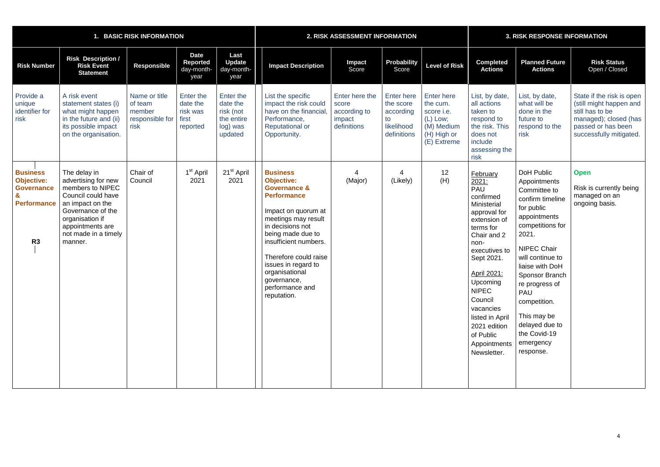|                                                                                                   | <b>BASIC RISK INFORMATION</b>                                                                                                                                                                    |                                                               | 2. RISK ASSESSMENT INFORMATION                         |                                                                         |                                                                                                                                                                                                                                                                                                                          |                                                                  | <b>3. RISK RESPONSE INFORMATION</b>                                            |                                                                                              |                                                                                                                                                                                                                                                                                                                  |                                                                                                                                                                                                                                                                                                                                     |                                                                                                                                                   |
|---------------------------------------------------------------------------------------------------|--------------------------------------------------------------------------------------------------------------------------------------------------------------------------------------------------|---------------------------------------------------------------|--------------------------------------------------------|-------------------------------------------------------------------------|--------------------------------------------------------------------------------------------------------------------------------------------------------------------------------------------------------------------------------------------------------------------------------------------------------------------------|------------------------------------------------------------------|--------------------------------------------------------------------------------|----------------------------------------------------------------------------------------------|------------------------------------------------------------------------------------------------------------------------------------------------------------------------------------------------------------------------------------------------------------------------------------------------------------------|-------------------------------------------------------------------------------------------------------------------------------------------------------------------------------------------------------------------------------------------------------------------------------------------------------------------------------------|---------------------------------------------------------------------------------------------------------------------------------------------------|
| <b>Risk Number</b>                                                                                | <b>Risk Description /</b><br><b>Risk Event</b><br><b>Statement</b>                                                                                                                               | <b>Responsible</b>                                            | <b>Date</b><br><b>Reported</b><br>day-month-<br>year   | Last<br><b>Update</b><br>day-month-<br>year                             | <b>Impact Description</b>                                                                                                                                                                                                                                                                                                | Impact<br>Score                                                  | <b>Probability</b><br>Score                                                    | <b>Level of Risk</b>                                                                         | <b>Completed</b><br><b>Actions</b>                                                                                                                                                                                                                                                                               | <b>Planned Future</b><br><b>Actions</b>                                                                                                                                                                                                                                                                                             | <b>Risk Status</b><br>Open / Closed                                                                                                               |
| Provide a<br>unique<br>identifier for<br>risk                                                     | A risk event<br>statement states (i)<br>what might happen<br>in the future and (ii)<br>its possible impact<br>on the organisation.                                                               | Name or title<br>of team<br>member<br>responsible for<br>risk | Enter the<br>date the<br>risk was<br>first<br>reported | Enter the<br>date the<br>risk (not<br>the entire<br>log) was<br>updated | List the specific<br>impact the risk could<br>have on the financial<br>Performance,<br><b>Reputational or</b><br>Opportunity.                                                                                                                                                                                            | Enter here the<br>score<br>according to<br>impact<br>definitions | <b>Enter here</b><br>the score<br>according<br>to<br>likelihood<br>definitions | Enter here<br>the cum.<br>score i.e.<br>(L) Low;<br>(M) Medium<br>(H) High or<br>(E) Extreme | List, by date,<br>all actions<br>taken to<br>respond to<br>the risk. This<br>does not<br>include<br>assessing the<br>risk                                                                                                                                                                                        | List, by date,<br>what will be<br>done in the<br>future to<br>respond to the<br>risk                                                                                                                                                                                                                                                | State if the risk is open<br>(still might happen and<br>still has to be<br>managed); closed (has<br>passed or has been<br>successfully mitigated. |
| <b>Business</b><br><b>Objective:</b><br><b>Governance</b><br><b>Performance</b><br>R <sub>3</sub> | The delay in<br>advertising for new<br>members to NIPEC<br>Council could have<br>an impact on the<br>Governance of the<br>organisation if<br>appointments are<br>not made in a timely<br>manner. | Chair of<br>Council                                           | 1 <sup>st</sup> April<br>2021                          | 21 <sup>st</sup> April<br>2021                                          | <b>Business</b><br><b>Objective:</b><br><b>Governance &amp;</b><br><b>Performance</b><br>Impact on quorum at<br>meetings may result<br>in decisions not<br>being made due to<br>insufficient numbers.<br>Therefore could raise<br>issues in regard to<br>organisational<br>governance,<br>performance and<br>reputation. | (Major)                                                          | 4<br>(Likely)                                                                  | 12<br>(H)                                                                                    | February<br>2021:<br><b>PAU</b><br>confirmed<br>Ministerial<br>approval for<br>extension of<br>terms for<br>Chair and 2<br>non-<br>executives to<br>Sept 2021.<br>April 2021:<br>Upcoming<br><b>NIPEC</b><br>Council<br>vacancies<br>listed in April<br>2021 edition<br>of Public<br>Appointments<br>Newsletter. | DoH Public<br>Appointments<br>Committee to<br>confirm timeline<br>for public<br>appointments<br>competitions for<br>2021.<br><b>NIPEC Chair</b><br>will continue to<br>liaise with DoH<br>Sponsor Branch<br>re progress of<br><b>PAU</b><br>competition.<br>This may be<br>delayed due to<br>the Covid-19<br>emergency<br>response. | <b>Open</b><br>Risk is currently being<br>managed on an<br>ongoing basis.                                                                         |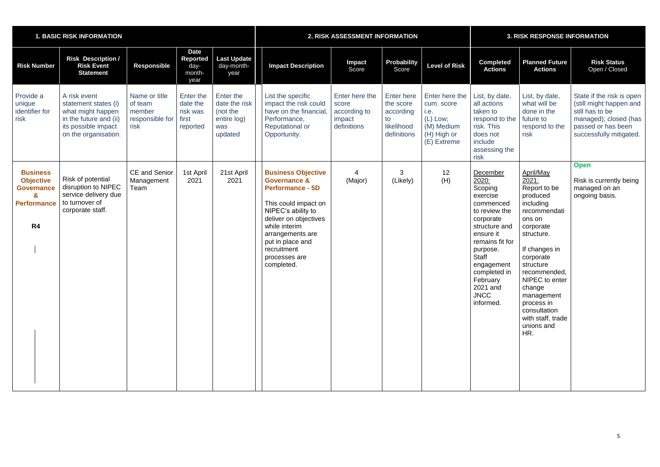|                                                                                                                  | <b>1. BASIC RISK INFORMATION</b>                                                                                                   |                                                               | <b>2. RISK ASSESSMENT INFORMATION</b>                    |                                                                         |                                                                                                                                                                                                                                                               |                                                                  | <b>3. RISK RESPONSE INFORMATION</b>                                            |                                                                                                |                                                                                                                                                                                                                                             |                                                                                                                                                                                                                                                                                               |                                                                                                                                                   |
|------------------------------------------------------------------------------------------------------------------|------------------------------------------------------------------------------------------------------------------------------------|---------------------------------------------------------------|----------------------------------------------------------|-------------------------------------------------------------------------|---------------------------------------------------------------------------------------------------------------------------------------------------------------------------------------------------------------------------------------------------------------|------------------------------------------------------------------|--------------------------------------------------------------------------------|------------------------------------------------------------------------------------------------|---------------------------------------------------------------------------------------------------------------------------------------------------------------------------------------------------------------------------------------------|-----------------------------------------------------------------------------------------------------------------------------------------------------------------------------------------------------------------------------------------------------------------------------------------------|---------------------------------------------------------------------------------------------------------------------------------------------------|
| <b>Risk Number</b>                                                                                               | <b>Risk Description /</b><br><b>Risk Event</b><br><b>Statement</b>                                                                 | <b>Responsible</b>                                            | <b>Date</b><br><b>Reported</b><br>day-<br>month-<br>year | <b>Last Update</b><br>day-month-<br>year                                | <b>Impact Description</b>                                                                                                                                                                                                                                     | <b>Impact</b><br>Score                                           | <b>Probability</b><br>Score                                                    | <b>Level of Risk</b>                                                                           | <b>Completed</b><br><b>Actions</b>                                                                                                                                                                                                          | <b>Planned Future</b><br><b>Actions</b>                                                                                                                                                                                                                                                       | <b>Risk Status</b><br>Open / Closed                                                                                                               |
| Provide a<br>unique<br>identifier for<br>risk                                                                    | A risk event<br>statement states (i)<br>what might happen<br>in the future and (ii)<br>its possible impact<br>on the organisation. | Name or title<br>of team<br>member<br>responsible for<br>risk | Enter the<br>date the<br>risk was<br>first<br>reported   | Enter the<br>date the risk<br>(not the<br>entire log)<br>was<br>updated | List the specific<br>impact the risk could<br>have on the financial,<br>Performance,<br><b>Reputational or</b><br>Opportunity.                                                                                                                                | Enter here the<br>score<br>according to<br>impact<br>definitions | <b>Enter here</b><br>the score<br>according<br>to<br>likelihood<br>definitions | Enter here the<br>cum. score<br>i.e.<br>$(L)$ Low;<br>(M) Medium<br>(H) High or<br>(E) Extreme | List, by date,<br>all actions<br>taken to<br>respond to the<br>risk. This<br>does not<br>include<br>assessing the<br>risk                                                                                                                   | List, by date,<br>what will be<br>done in the<br>future to<br>respond to the<br>risk                                                                                                                                                                                                          | State if the risk is open<br>(still might happen and<br>still has to be<br>managed); closed (has<br>passed or has been<br>successfully mitigated. |
| <b>Business</b><br><b>Objective</b><br><b>Governance</b><br>$\mathbf{z}$<br><b>Performance</b><br>R <sub>4</sub> | Risk of potential<br>disruption to NIPEC<br>service delivery due<br>to turnover of<br>corporate staff.                             | <b>CE and Senior</b><br>Management<br>Team                    | 1st April<br>2021                                        | 21st April<br>2021                                                      | <b>Business Objective</b><br><b>Governance &amp;</b><br><b>Performance - 5D</b><br>This could impact on<br>NIPEC's ability to<br>deliver on objectives<br>while interim<br>arrangements are<br>put in place and<br>recruitment<br>processes are<br>completed. | Δ<br>(Major)                                                     | 3<br>(Likely)                                                                  | 12<br>(H)                                                                                      | December<br>2020:<br>Scoping<br>exercise<br>commenced<br>to review the<br>corporate<br>structure and<br>ensure it<br>remains fit for<br>purpose.<br>Staff<br>engagement<br>completed in<br>February<br>2021 and<br><b>JNCC</b><br>informed. | April/May<br>2021:<br>Report to be<br>produced<br>including<br>recommendati<br>ons on<br>corporate<br>structure.<br>If changes in<br>corporate<br>structure<br>recommended,<br>NIPEC to enter<br>change<br>management<br>process in<br>consultation<br>with staff, trade<br>unions and<br>HR. | <b>Open</b><br>Risk is currently being<br>managed on an<br>ongoing basis.                                                                         |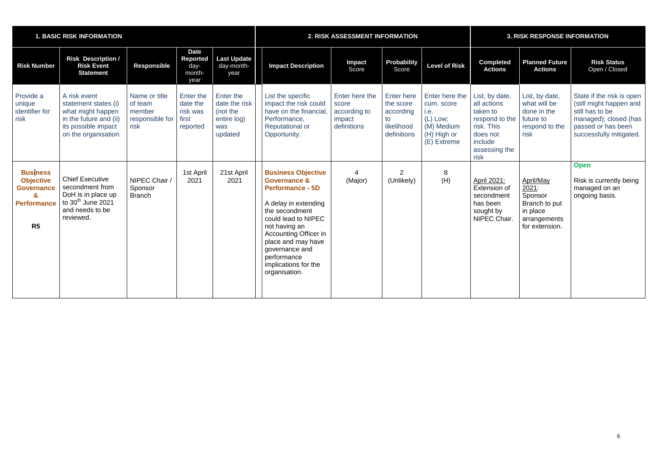|                                                                                           | <b>1. BASIC RISK INFORMATION</b>                                                                                                   |                                                               | <b>2. RISK ASSESSMENT INFORMATION</b>                    |                                                                         |                                                                                                                                                                                                                                                                                                   |                                                                  | <b>3. RISK RESPONSE INFORMATION</b>                                            |                                                                                                |                                                                                                                           |                                                                                              |                                                                                                                                                   |
|-------------------------------------------------------------------------------------------|------------------------------------------------------------------------------------------------------------------------------------|---------------------------------------------------------------|----------------------------------------------------------|-------------------------------------------------------------------------|---------------------------------------------------------------------------------------------------------------------------------------------------------------------------------------------------------------------------------------------------------------------------------------------------|------------------------------------------------------------------|--------------------------------------------------------------------------------|------------------------------------------------------------------------------------------------|---------------------------------------------------------------------------------------------------------------------------|----------------------------------------------------------------------------------------------|---------------------------------------------------------------------------------------------------------------------------------------------------|
| <b>Risk Number</b>                                                                        | <b>Risk Description /</b><br><b>Risk Event</b><br><b>Statement</b>                                                                 | <b>Responsible</b>                                            | <b>Date</b><br><b>Reported</b><br>day-<br>month-<br>year | <b>Last Update</b><br>day-month-<br>year                                | <b>Impact Description</b>                                                                                                                                                                                                                                                                         | <b>Impact</b><br>Score                                           | Probability<br>Score                                                           | <b>Level of Risk</b>                                                                           | <b>Completed</b><br><b>Actions</b>                                                                                        | <b>Planned Future</b><br><b>Actions</b>                                                      | <b>Risk Status</b><br>Open / Closed                                                                                                               |
| Provide a<br>unique<br>identifier for<br>risk                                             | A risk event<br>statement states (i)<br>what might happen<br>in the future and (ii)<br>its possible impact<br>on the organisation. | Name or title<br>of team<br>member<br>responsible for<br>risk | Enter the<br>date the<br>risk was<br>first<br>reported   | Enter the<br>date the risk<br>(not the<br>entire log)<br>was<br>updated | List the specific<br>impact the risk could<br>have on the financial.<br>Performance,<br><b>Reputational or</b><br>Opportunity.                                                                                                                                                                    | Enter here the<br>score<br>according to<br>impact<br>definitions | <b>Enter here</b><br>the score<br>according<br>to<br>likelihood<br>definitions | Enter here the<br>cum. score<br>i.e.<br>$(L)$ Low;<br>(M) Medium<br>(H) High or<br>(E) Extreme | List, by date,<br>all actions<br>taken to<br>respond to the<br>risk. This<br>does not<br>include<br>assessing the<br>risk | List, by date,<br>what will be<br>done in the<br>future to<br>respond to the<br>risk         | State if the risk is open<br>(still might happen and<br>still has to be<br>managed); closed (has<br>passed or has been<br>successfully mitigated. |
| <b>Business</b><br><b>Objective</b><br><b>Governance</b><br>&<br><b>Performance</b><br>R5 | <b>Chief Executive</b><br>secondment from<br>DoH is in place up<br>to $30th$ June 2021<br>and needs to be<br>reviewed.             | NIPEC Chair /<br>Sponsor<br><b>Branch</b>                     | 1st April<br>2021                                        | 21st April<br>2021                                                      | <b>Business Objective</b><br><b>Governance &amp;</b><br><b>Performance - 5D</b><br>A delay in extending<br>the secondment<br>could lead to NIPEC<br>not having an<br><b>Accounting Officer in</b><br>place and may have<br>governance and<br>performance<br>implications for the<br>organisation. | (Major)                                                          | 2<br>(Unlikely)                                                                | 8<br>(H)                                                                                       | April 2021:<br>Extension of<br>secondment<br>has been<br>sought by<br>NIPEC Chair.                                        | April/May<br>2021:<br>Sponsor<br>Branch to put<br>in place<br>arrangements<br>for extension. | <b>Open</b><br>Risk is currently being<br>managed on an<br>ongoing basis.                                                                         |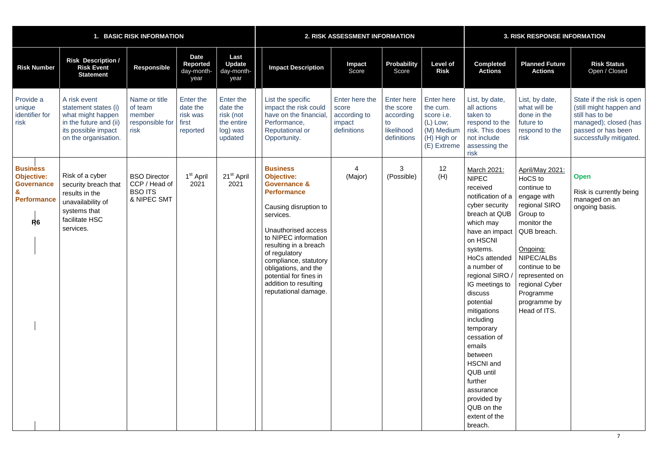|                                                                                                                   | <b>BASIC RISK INFORMATION</b>                                                                                                      |                                                                       |                                                        |                                                                         |                                                                                                                                                                                                                                                                                                                                                  | 2. RISK ASSESSMENT INFORMATION                                   |                                                                                |                                                                                              | <b>3. RISK RESPONSE INFORMATION</b>                                                                                                                                                                                                                                                                                                                                                                                                     |                                                                                                                                                                                                                                                                  |                                                                                                                                                   |
|-------------------------------------------------------------------------------------------------------------------|------------------------------------------------------------------------------------------------------------------------------------|-----------------------------------------------------------------------|--------------------------------------------------------|-------------------------------------------------------------------------|--------------------------------------------------------------------------------------------------------------------------------------------------------------------------------------------------------------------------------------------------------------------------------------------------------------------------------------------------|------------------------------------------------------------------|--------------------------------------------------------------------------------|----------------------------------------------------------------------------------------------|-----------------------------------------------------------------------------------------------------------------------------------------------------------------------------------------------------------------------------------------------------------------------------------------------------------------------------------------------------------------------------------------------------------------------------------------|------------------------------------------------------------------------------------------------------------------------------------------------------------------------------------------------------------------------------------------------------------------|---------------------------------------------------------------------------------------------------------------------------------------------------|
| <b>Risk Number</b>                                                                                                | <b>Risk Description /</b><br><b>Risk Event</b><br><b>Statement</b>                                                                 | Responsible                                                           | <b>Date</b><br>Reported<br>day-month-<br>year          | Last<br><b>Update</b><br>day-month-<br>year                             | <b>Impact Description</b>                                                                                                                                                                                                                                                                                                                        | <b>Impact</b><br>Score                                           | <b>Probability</b><br>Score                                                    | <b>Level of</b><br><b>Risk</b>                                                               | <b>Completed</b><br><b>Actions</b>                                                                                                                                                                                                                                                                                                                                                                                                      | <b>Planned Future</b><br><b>Actions</b>                                                                                                                                                                                                                          | <b>Risk Status</b><br>Open / Closed                                                                                                               |
| Provide a<br>unique<br>identifier for<br>risk                                                                     | A risk event<br>statement states (i)<br>what might happen<br>in the future and (ii)<br>its possible impact<br>on the organisation. | Name or title<br>of team<br>member<br>responsible for<br>risk         | Enter the<br>date the<br>risk was<br>first<br>reported | Enter the<br>date the<br>risk (not<br>the entire<br>log) was<br>updated | List the specific<br>impact the risk could<br>have on the financial.<br>Performance,<br><b>Reputational or</b><br>Opportunity.                                                                                                                                                                                                                   | Enter here the<br>score<br>according to<br>impact<br>definitions | <b>Enter here</b><br>the score<br>according<br>to<br>likelihood<br>definitions | Enter here<br>the cum.<br>score i.e.<br>(L) Low;<br>(M) Medium<br>(H) High or<br>(E) Extreme | List, by date,<br>all actions<br>taken to<br>respond to the<br>risk. This does<br>not include<br>assessing the<br>risk                                                                                                                                                                                                                                                                                                                  | List, by date,<br>what will be<br>done in the<br>future to<br>respond to the<br>risk                                                                                                                                                                             | State if the risk is open<br>(still might happen and<br>still has to be<br>managed); closed (has<br>passed or has been<br>successfully mitigated. |
| <b>Business</b><br><b>Objective:</b><br><b>Governance</b><br>$\mathbf{g}$<br><b>Performance</b><br>R <sub>6</sub> | Risk of a cyber<br>security breach that<br>results in the<br>unavailability of<br>systems that<br>facilitate HSC<br>services.      | <b>BSO Director</b><br>CCP / Head of<br><b>BSO ITS</b><br>& NIPEC SMT | 1 <sup>st</sup> April<br>2021                          | 21 <sup>st</sup> April<br>2021                                          | <b>Business</b><br><b>Objective:</b><br><b>Governance &amp;</b><br><b>Performance</b><br>Causing disruption to<br>services.<br>Unauthorised access<br>to NIPEC information<br>resulting in a breach<br>of regulatory<br>compliance, statutory<br>obligations, and the<br>potential for fines in<br>addition to resulting<br>reputational damage. | (Major)                                                          | 3<br>(Possible)                                                                | 12<br>(H)                                                                                    | March 2021:<br><b>NIPEC</b><br>received<br>notification of a<br>cyber security<br>breach at QUB<br>which may<br>have an impact<br>on HSCNI<br>systems.<br>HoCs attended<br>a number of<br>IG meetings to<br>discuss<br>potential<br>mitigations<br>including<br>temporary<br>cessation of<br>emails<br>between<br><b>HSCNI</b> and<br><b>QUB until</b><br>further<br>assurance<br>provided by<br>QUB on the<br>extent of the<br>breach. | April/May 2021:<br>HoCS to<br>continue to<br>engage with<br>regional SIRO<br>Group to<br>monitor the<br>QUB breach.<br>Ongoing:<br>NIPEC/ALBs<br>continue to be<br>regional SIRO / represented on<br>regional Cyber<br>Programme<br>programme by<br>Head of ITS. | <b>Open</b><br>Risk is currently being<br>managed on an<br>ongoing basis.                                                                         |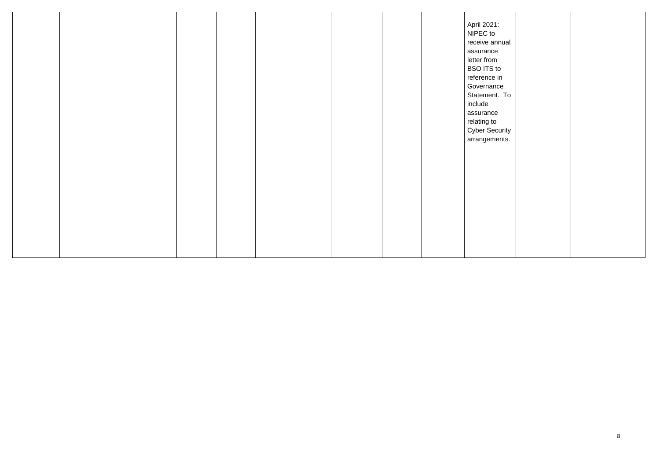|  |  | April 2021:<br>NIPEC to<br>assurance<br>letter from<br><b>BSO ITS to</b><br>reference in<br>Governance<br>include<br>assurance<br>relating to | receive annual<br>Statement. To<br><b>Cyber Security</b><br>arrangements. |  |
|--|--|-----------------------------------------------------------------------------------------------------------------------------------------------|---------------------------------------------------------------------------|--|
|  |  |                                                                                                                                               |                                                                           |  |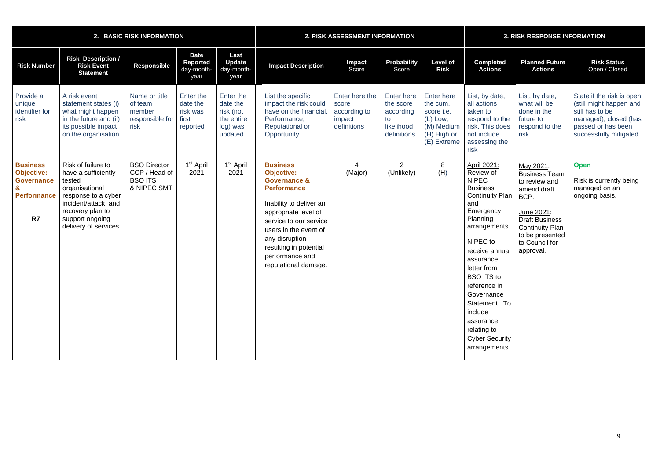|                                                                                                       | 2. BASIC RISK INFORMATION                                                                                                                                                            |                                                                       | 2. RISK ASSESSMENT INFORMATION                         |                                                                         |                                                                                                                                                                                                                                                                                    |                                                                  | <b>3. RISK RESPONSE INFORMATION</b>                                     |                                                                                                       |                                                                                                                                                                                                                                                                                                                                                       |                                                                                                                                                                                              |                                                                                                                                                   |
|-------------------------------------------------------------------------------------------------------|--------------------------------------------------------------------------------------------------------------------------------------------------------------------------------------|-----------------------------------------------------------------------|--------------------------------------------------------|-------------------------------------------------------------------------|------------------------------------------------------------------------------------------------------------------------------------------------------------------------------------------------------------------------------------------------------------------------------------|------------------------------------------------------------------|-------------------------------------------------------------------------|-------------------------------------------------------------------------------------------------------|-------------------------------------------------------------------------------------------------------------------------------------------------------------------------------------------------------------------------------------------------------------------------------------------------------------------------------------------------------|----------------------------------------------------------------------------------------------------------------------------------------------------------------------------------------------|---------------------------------------------------------------------------------------------------------------------------------------------------|
| <b>Risk Number</b>                                                                                    | <b>Risk Description /</b><br><b>Risk Event</b><br><b>Statement</b>                                                                                                                   | <b>Responsible</b>                                                    | <b>Date</b><br><b>Reported</b><br>day-month-<br>year   | Last<br><b>Update</b><br>day-month-<br>year                             | <b>Impact Description</b>                                                                                                                                                                                                                                                          | Impact<br>Score                                                  | <b>Probability</b><br>Score                                             | <b>Level of</b><br><b>Risk</b>                                                                        | <b>Completed</b><br><b>Actions</b>                                                                                                                                                                                                                                                                                                                    | <b>Planned Future</b><br><b>Actions</b>                                                                                                                                                      | <b>Risk Status</b><br>Open / Closed                                                                                                               |
| Provide a<br>unique<br>identifier for<br>risk                                                         | A risk event<br>statement states (i)<br>what might happen<br>in the future and (ii)<br>its possible impact<br>on the organisation.                                                   | Name or title<br>of team<br>member<br>responsible for<br>risk         | Enter the<br>date the<br>risk was<br>first<br>reported | Enter the<br>date the<br>risk (not<br>the entire<br>log) was<br>updated | List the specific<br>impact the risk could<br>have on the financial<br>Performance,<br><b>Reputational or</b><br>Opportunity.                                                                                                                                                      | Enter here the<br>score<br>according to<br>impact<br>definitions | Enter here<br>the score<br>according<br>to<br>likelihood<br>definitions | <b>Enter here</b><br>the cum.<br>score i.e.<br>$(L)$ Low;<br>(M) Medium<br>(H) High or<br>(E) Extreme | List, by date,<br>all actions<br>taken to<br>respond to the<br>risk. This does<br>not include<br>assessing the<br>risk                                                                                                                                                                                                                                | List, by date,<br>what will be<br>done in the<br>future to<br>respond to the<br>risk                                                                                                         | State if the risk is open<br>(still might happen and<br>still has to be<br>managed); closed (has<br>passed or has been<br>successfully mitigated. |
| <b>Business</b><br><b>Objective:</b><br><b>Governance</b><br>$\mathbf{g}$<br><b>Performance</b><br>R7 | Risk of failure to<br>have a sufficiently<br>tested<br>organisational<br>response to a cyber<br>incident/attack, and<br>recovery plan to<br>support ongoing<br>delivery of services. | <b>BSO Director</b><br>CCP / Head of<br><b>BSO ITS</b><br>& NIPEC SMT | 1 <sup>st</sup> April<br>2021                          | 1 <sup>st</sup> April<br>2021                                           | <b>Business</b><br><b>Objective:</b><br><b>Governance &amp;</b><br><b>Performance</b><br>Inability to deliver an<br>appropriate level of<br>service to our service<br>users in the event of<br>any disruption<br>resulting in potential<br>performance and<br>reputational damage. | (Major)                                                          | $\overline{2}$<br>(Unlikely)                                            | 8<br>(H)                                                                                              | April 2021:<br>Review of<br><b>NIPEC</b><br><b>Business</b><br><b>Continuity Plan</b><br>and<br>Emergency<br>Planning<br>arrangements.<br>NIPEC to<br>receive annual<br>assurance<br>letter from<br><b>BSO ITS to</b><br>reference in<br>Governance<br>Statement. To<br>include<br>assurance<br>relating to<br><b>Cyber Security</b><br>arrangements. | May 2021:<br><b>Business Team</b><br>to review and<br>amend draft<br>BCP.<br>June 2021:<br><b>Draft Business</b><br><b>Continuity Plan</b><br>to be presented<br>to Council for<br>approval. | <b>Open</b><br>Risk is currently being<br>managed on an<br>ongoing basis.                                                                         |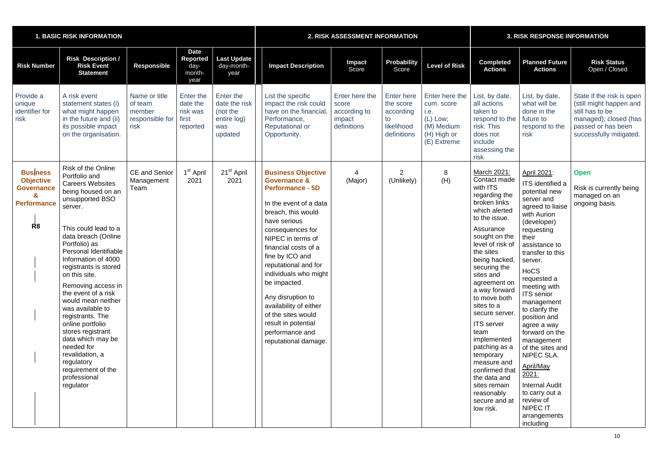|                                                                                                       | <b>1. BASIC RISK INFORMATION</b>                                                                                                                                                                                                                                                                                                                                                                                                                                                                                                                               |                                                               | 2. RISK ASSESSMENT INFORMATION                           |                                                                         |                                                                                                                                                                                                                                                                                                                                                                                                                                             |                                                                  | <b>3. RISK RESPONSE INFORMATION</b>                                     |                                                                                                |                                                                                                                                                                                                                                                                                                                                                                                                                                                                                                 |                                                                                                                                                                                                                                                                                                                                                                                                                                                                                                                    |                                                                                                                                                   |
|-------------------------------------------------------------------------------------------------------|----------------------------------------------------------------------------------------------------------------------------------------------------------------------------------------------------------------------------------------------------------------------------------------------------------------------------------------------------------------------------------------------------------------------------------------------------------------------------------------------------------------------------------------------------------------|---------------------------------------------------------------|----------------------------------------------------------|-------------------------------------------------------------------------|---------------------------------------------------------------------------------------------------------------------------------------------------------------------------------------------------------------------------------------------------------------------------------------------------------------------------------------------------------------------------------------------------------------------------------------------|------------------------------------------------------------------|-------------------------------------------------------------------------|------------------------------------------------------------------------------------------------|-------------------------------------------------------------------------------------------------------------------------------------------------------------------------------------------------------------------------------------------------------------------------------------------------------------------------------------------------------------------------------------------------------------------------------------------------------------------------------------------------|--------------------------------------------------------------------------------------------------------------------------------------------------------------------------------------------------------------------------------------------------------------------------------------------------------------------------------------------------------------------------------------------------------------------------------------------------------------------------------------------------------------------|---------------------------------------------------------------------------------------------------------------------------------------------------|
| <b>Risk Number</b>                                                                                    | <b>Risk Description /</b><br><b>Risk Event</b><br><b>Statement</b>                                                                                                                                                                                                                                                                                                                                                                                                                                                                                             | <b>Responsible</b>                                            | <b>Date</b><br><b>Reported</b><br>day-<br>month-<br>year | Last Update<br>day-month-<br>year                                       | <b>Impact Description</b>                                                                                                                                                                                                                                                                                                                                                                                                                   | <b>Impact</b><br>Score                                           | <b>Probability</b><br>Score                                             | <b>Level of Risk</b>                                                                           | <b>Completed</b><br><b>Actions</b>                                                                                                                                                                                                                                                                                                                                                                                                                                                              | <b>Planned Future</b><br><b>Actions</b>                                                                                                                                                                                                                                                                                                                                                                                                                                                                            | <b>Risk Status</b><br>Open / Closed                                                                                                               |
| Provide a<br>unique<br>identifier for<br>risk                                                         | A risk event<br>statement states (i)<br>what might happen<br>in the future and (ii)<br>its possible impact<br>on the organisation.                                                                                                                                                                                                                                                                                                                                                                                                                             | Name or title<br>of team<br>member<br>responsible for<br>risk | Enter the<br>date the<br>risk was<br>first<br>reported   | Enter the<br>date the risk<br>(not the<br>entire log)<br>was<br>updated | List the specific<br>impact the risk could<br>have on the financial<br>Performance,<br><b>Reputational or</b><br>Opportunity.                                                                                                                                                                                                                                                                                                               | Enter here the<br>score<br>according to<br>impact<br>definitions | Enter here<br>the score<br>according<br>to<br>likelihood<br>definitions | Enter here the<br>cum. score<br>i.e.<br>$(L)$ Low;<br>(M) Medium<br>(H) High or<br>(E) Extreme | List, by date,<br>all actions<br>taken to<br>respond to the<br>risk. This<br>does not<br>include<br>assessing the<br>risk                                                                                                                                                                                                                                                                                                                                                                       | List, by date,<br>what will be<br>done in the<br>future to<br>respond to the<br>risk                                                                                                                                                                                                                                                                                                                                                                                                                               | State if the risk is open<br>(still might happen and<br>still has to be<br>managed); closed (has<br>passed or has been<br>successfully mitigated. |
| <b>Business</b><br><b>Objective</b><br><b>Governance</b><br>&<br><b>Performance</b><br>R <sub>8</sub> | <b>Risk of the Online</b><br>Portfolio and<br><b>Careers Websites</b><br>being housed on an<br>unsupported BSO<br>server.<br>This could lead to a<br>data breach (Online<br>Portfolio) as<br>Personal Identifiable<br>Information of 4000<br>registrants is stored<br>on this site.<br>Removing access in<br>the event of a risk<br>would mean neither<br>was available to<br>registrants. The<br>online portfolio<br>stores registrant<br>data which may be<br>needed for<br>revalidation, a<br>regulatory<br>requirement of the<br>professional<br>regulator | CE and Senior<br>Management<br>Team                           | 1 <sup>st</sup> April<br>2021                            | 21 <sup>st</sup> April<br>2021                                          | <b>Business Objective</b><br><b>Governance &amp;</b><br><b>Performance - 5D</b><br>In the event of a data<br>breach, this would<br>have serious<br>consequences for<br>NIPEC in terms of<br>financial costs of a<br>fine by ICO and<br>reputational and for<br>individuals who might<br>be impacted.<br>Any disruption to<br>availability of either<br>of the sites would<br>result in potential<br>performance and<br>reputational damage. | (Major)                                                          | $\overline{2}$<br>(Unlikely)                                            | 8<br>(H)                                                                                       | March 2021:<br>Contact made<br>with ITS<br>regarding the<br>broken links<br>which alerted<br>to the issue.<br>Assurance<br>sought on the<br>level of risk of<br>the sites<br>being hacked,<br>securing the<br>sites and<br>agreement on<br>a way forward<br>to move both<br>sites to a<br>secure server.<br><b>ITS</b> server<br>team<br>implemented<br>patching as a<br>temporary<br>measure and<br>confirmed that<br>the data and<br>sites remain<br>reasonably<br>secure and at<br>low risk. | April 2021:<br>ITS identified a<br>potential new<br>server and<br>agreed to liaise<br>with Aurion<br>(developer)<br>requesting<br>their<br>assistance to<br>transfer to this<br>server.<br>HoCS<br>requested a<br>meeting with<br><b>ITS</b> senior<br>management<br>to clarify the<br>position and<br>agree a way<br>forward on the<br>management<br>of the sites and<br>NIPEC SLA.<br>April/May<br>2021:<br><b>Internal Audit</b><br>to carry out a<br>review of<br><b>NIPEC IT</b><br>arrangements<br>including | <b>Open</b><br>Risk is currently being<br>managed on an<br>ongoing basis.                                                                         |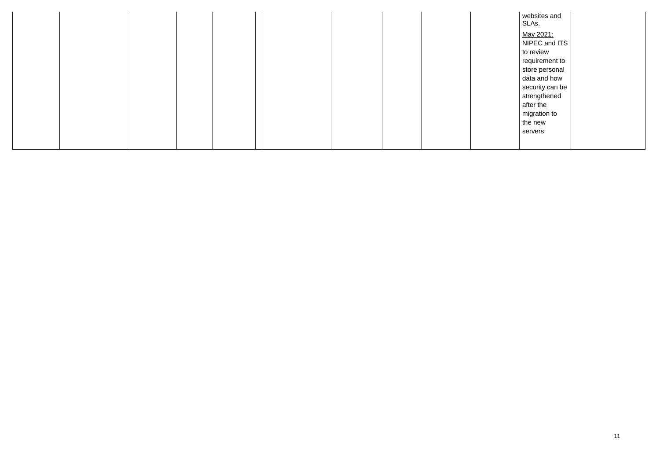websites and SLAs.

May 2021: NIPEC and ITS to review requirement to store personal data and how security can be strengthened after the migration to the new servers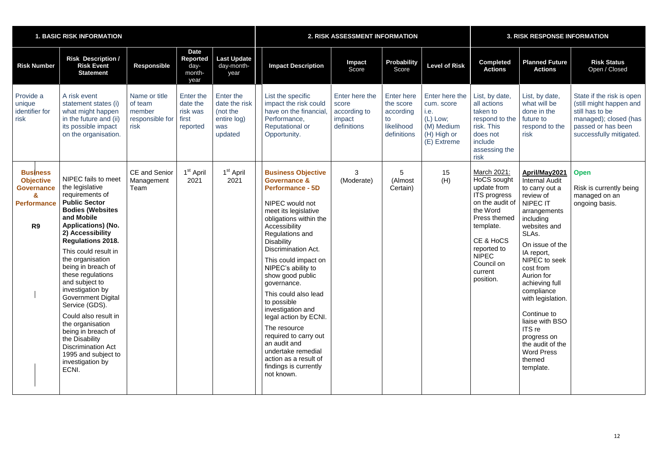|                                                                                                                  | <b>1. BASIC RISK INFORMATION</b>                                                                                                                                                                                                                                                                                                                                                                                                                                                                                                                         |                                                               | 2. RISK ASSESSMENT INFORMATION                           |                                                                         |                                                                                                                                                                                                                                                                                                                                                                                                                                                                                                                                                                  |                                                                  | <b>3. RISK RESPONSE INFORMATION</b>                                            |                                                                                                |                                                                                                                                                                                                         |                                                                                                                                                                                                                                                                                                                                                                                                             |                                                                                                                                                   |
|------------------------------------------------------------------------------------------------------------------|----------------------------------------------------------------------------------------------------------------------------------------------------------------------------------------------------------------------------------------------------------------------------------------------------------------------------------------------------------------------------------------------------------------------------------------------------------------------------------------------------------------------------------------------------------|---------------------------------------------------------------|----------------------------------------------------------|-------------------------------------------------------------------------|------------------------------------------------------------------------------------------------------------------------------------------------------------------------------------------------------------------------------------------------------------------------------------------------------------------------------------------------------------------------------------------------------------------------------------------------------------------------------------------------------------------------------------------------------------------|------------------------------------------------------------------|--------------------------------------------------------------------------------|------------------------------------------------------------------------------------------------|---------------------------------------------------------------------------------------------------------------------------------------------------------------------------------------------------------|-------------------------------------------------------------------------------------------------------------------------------------------------------------------------------------------------------------------------------------------------------------------------------------------------------------------------------------------------------------------------------------------------------------|---------------------------------------------------------------------------------------------------------------------------------------------------|
| <b>Risk Number</b>                                                                                               | <b>Risk Description /</b><br><b>Risk Event</b><br><b>Statement</b>                                                                                                                                                                                                                                                                                                                                                                                                                                                                                       | <b>Responsible</b>                                            | <b>Date</b><br><b>Reported</b><br>day-<br>month-<br>year | Last Update<br>day-month-<br>year                                       | <b>Impact Description</b>                                                                                                                                                                                                                                                                                                                                                                                                                                                                                                                                        | Impact<br>Score                                                  | Probability<br>Score                                                           | <b>Level of Risk</b>                                                                           | <b>Completed</b><br><b>Actions</b>                                                                                                                                                                      | <b>Planned Future</b><br><b>Actions</b>                                                                                                                                                                                                                                                                                                                                                                     | <b>Risk Status</b><br>Open / Closed                                                                                                               |
| Provide a<br>unique<br>identifier for<br>risk                                                                    | A risk event<br>statement states (i)<br>what might happen<br>in the future and (ii)<br>its possible impact<br>on the organisation.                                                                                                                                                                                                                                                                                                                                                                                                                       | Name or title<br>of team<br>member<br>responsible for<br>risk | Enter the<br>date the<br>risk was<br>first<br>reported   | Enter the<br>date the risk<br>(not the<br>entire log)<br>was<br>updated | List the specific<br>impact the risk could<br>have on the financial.<br>Performance,<br><b>Reputational or</b><br>Opportunity.                                                                                                                                                                                                                                                                                                                                                                                                                                   | Enter here the<br>score<br>according to<br>impact<br>definitions | <b>Enter here</b><br>the score<br>according<br>to<br>likelihood<br>definitions | Enter here the<br>cum. score<br>i.e.<br>$(L)$ Low;<br>(M) Medium<br>(H) High or<br>(E) Extreme | List, by date,<br>all actions<br>taken to<br>respond to the<br>risk. This<br>does not<br>include<br>assessing the<br>risk                                                                               | List, by date,<br>what will be<br>done in the<br>future to<br>respond to the<br>risk                                                                                                                                                                                                                                                                                                                        | State if the risk is open<br>(still might happen and<br>still has to be<br>managed); closed (has<br>passed or has been<br>successfully mitigated. |
| <b>Business</b><br><b>Objective</b><br><b>Governance</b><br>$\mathbf{z}$<br><b>Performance</b><br>R <sub>9</sub> | NIPEC fails to meet<br>the legislative<br>requirements of<br><b>Public Sector</b><br><b>Bodies (Websites</b><br>and Mobile<br><b>Applications) (No.</b><br>2) Accessibility<br><b>Regulations 2018.</b><br>This could result in<br>the organisation<br>being in breach of<br>these regulations<br>and subject to<br>investigation by<br><b>Government Digital</b><br>Service (GDS).<br>Could also result in<br>the organisation<br>being in breach of<br>the Disability<br><b>Discrimination Act</b><br>1995 and subject to<br>investigation by<br>ECNI. | <b>CE</b> and Senior<br>Management<br>Team                    | 1 <sup>st</sup> April<br>2021                            | 1 <sup>st</sup> April<br>2021                                           | <b>Business Objective</b><br><b>Governance &amp;</b><br><b>Performance - 5D</b><br>NIPEC would not<br>meet its legislative<br>obligations within the<br>Accessibility<br>Regulations and<br><b>Disability</b><br><b>Discrimination Act.</b><br>This could impact on<br>NIPEC's ability to<br>show good public<br>governance.<br>This could also lead<br>to possible<br>investigation and<br>legal action by ECNI.<br>The resource<br>required to carry out<br>an audit and<br>undertake remedial<br>action as a result of<br>findings is currently<br>not known. | 3<br>(Moderate)                                                  | 5<br>(Almost<br>Certain)                                                       | 15<br>(H)                                                                                      | March 2021:<br>HoCS sought<br>update from<br>ITS progress<br>on the audit of<br>the Word<br>Press themed<br>template.<br>CE & HoCS<br>reported to<br><b>NIPEC</b><br>Council on<br>current<br>position. | April/May2021<br><b>Internal Audit</b><br>to carry out a<br>review of<br><b>NIPEC IT</b><br>arrangements<br>including<br>websites and<br>SLAs.<br>On issue of the<br>IA report,<br>NIPEC to seek<br>cost from<br>Aurion for<br>achieving full<br>compliance<br>with legislation.<br>Continue to<br>liaise with BSO<br>ITS re<br>progress on<br>the audit of the<br><b>Word Press</b><br>themed<br>template. | <b>Open</b><br>Risk is currently being<br>managed on an<br>ongoing basis.                                                                         |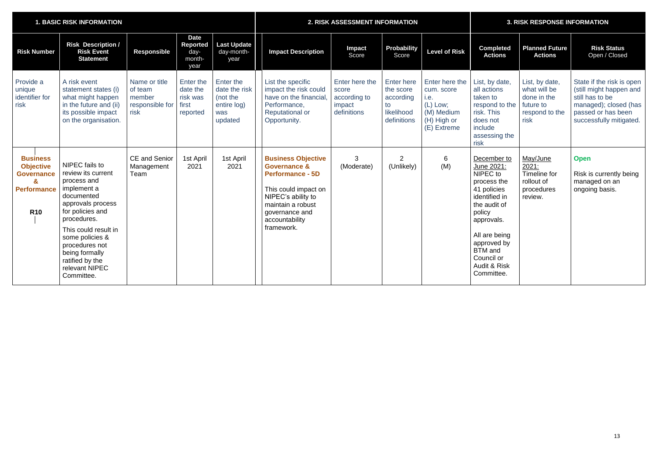| <b>1. BASIC RISK INFORMATION</b>                                                                  |                                                                                                                                                                                                                                                                            |                                                               |                                                        | 2. RISK ASSESSMENT INFORMATION                                          |                                                                                                                                                                                                      |                                                                  |                                                                                | <b>3. RISK RESPONSE INFORMATION</b>                                                            |                                                                                                                                                                                                                                       |                                                                                      |                                                                                                                                                   |
|---------------------------------------------------------------------------------------------------|----------------------------------------------------------------------------------------------------------------------------------------------------------------------------------------------------------------------------------------------------------------------------|---------------------------------------------------------------|--------------------------------------------------------|-------------------------------------------------------------------------|------------------------------------------------------------------------------------------------------------------------------------------------------------------------------------------------------|------------------------------------------------------------------|--------------------------------------------------------------------------------|------------------------------------------------------------------------------------------------|---------------------------------------------------------------------------------------------------------------------------------------------------------------------------------------------------------------------------------------|--------------------------------------------------------------------------------------|---------------------------------------------------------------------------------------------------------------------------------------------------|
| <b>Risk Number</b>                                                                                | <b>Risk Description /</b><br><b>Risk Event</b><br><b>Statement</b>                                                                                                                                                                                                         | <b>Responsible</b>                                            | <b>Date</b><br>Reported<br>day-<br>month-<br>year      | <b>Last Update</b><br>day-month-<br>year                                | <b>Impact Description</b>                                                                                                                                                                            | <b>Impact</b><br>Score                                           | <b>Probability</b><br>Score                                                    | <b>Level of Risk</b>                                                                           | <b>Completed</b><br><b>Actions</b>                                                                                                                                                                                                    | <b>Planned Future</b><br><b>Actions</b>                                              | <b>Risk Status</b><br>Open / Closed                                                                                                               |
| Provide a<br>unique<br>identifier for<br>risk                                                     | A risk event<br>statement states (i)<br>what might happen<br>in the future and (ii)<br>its possible impact<br>on the organisation.                                                                                                                                         | Name or title<br>of team<br>member<br>responsible for<br>risk | Enter the<br>date the<br>risk was<br>first<br>reported | Enter the<br>date the risk<br>(not the<br>entire log)<br>was<br>updated | List the specific<br>impact the risk could<br>have on the financial.<br>Performance,<br><b>Reputational or</b><br>Opportunity.                                                                       | Enter here the<br>score<br>according to<br>impact<br>definitions | <b>Enter here</b><br>the score<br>according<br>to<br>likelihood<br>definitions | Enter here the<br>cum. score<br>i.e.<br>$(L)$ Low;<br>(M) Medium<br>(H) High or<br>(E) Extreme | List, by date,<br>all actions<br>taken to<br>respond to the<br>risk. This<br>does not<br>include<br>assessing the<br>risk                                                                                                             | List, by date,<br>what will be<br>done in the<br>future to<br>respond to the<br>risk | State if the risk is open<br>(still might happen and<br>still has to be<br>managed); closed (has<br>passed or has been<br>successfully mitigated. |
| <b>Business</b><br><b>Objective</b><br><b>Governance</b><br>&<br><b>Performance</b><br><b>R10</b> | NIPEC fails to<br>review its current<br>process and<br>implement a<br>documented<br>approvals process<br>for policies and<br>procedures.<br>This could result in<br>some policies &<br>procedures not<br>being formally<br>ratified by the<br>relevant NIPEC<br>Committee. | <b>CE</b> and Senior<br>Management<br>Team                    | 1st April<br>2021                                      | 1st April<br>2021                                                       | <b>Business Objective</b><br><b>Governance &amp;</b><br><b>Performance - 5D</b><br>This could impact on<br>NIPEC's ability to<br>maintain a robust<br>governance and<br>accountability<br>framework. | 3<br>(Moderate)                                                  | $\overline{2}$<br>(Unlikely)                                                   | $6\overline{6}$<br>(M)                                                                         | December to<br>June 2021:<br>NIPEC to<br>process the<br>41 policies<br>identified in<br>the audit of<br>policy<br>approvals.<br>All are being<br>approved by<br><b>BTM</b> and<br>Council or<br><b>Audit &amp; Risk</b><br>Committee. | May/June<br>2021:<br>Timeline for<br>rollout of<br>procedures<br>review.             | <b>Open</b><br>Risk is currently being<br>managed on an<br>ongoing basis.                                                                         |

|  |  | <b>3. RISK RESPONSE INFORMATION</b> |  |
|--|--|-------------------------------------|--|
|  |  |                                     |  |